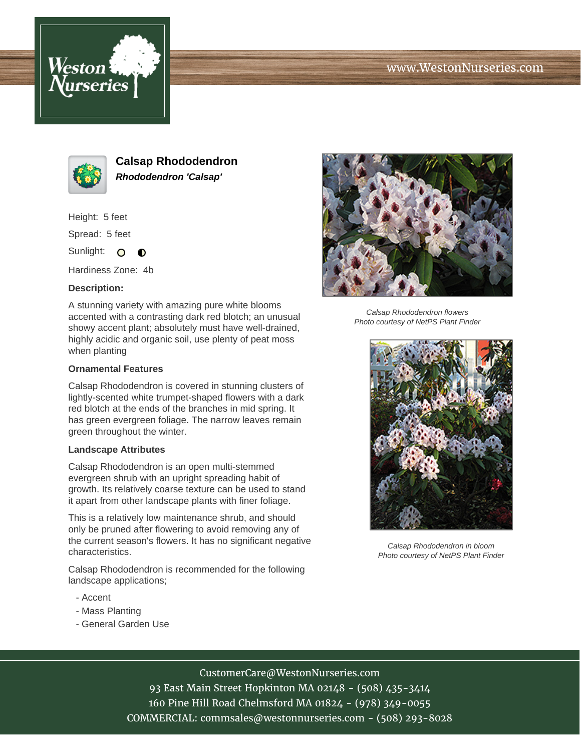





**Calsap Rhododendron Rhododendron 'Calsap'**

Height: 5 feet

Spread: 5 feet

Sunlight: O  $\bullet$ 

Hardiness Zone: 4b

### **Description:**

A stunning variety with amazing pure white blooms accented with a contrasting dark red blotch; an unusual showy accent plant; absolutely must have well-drained, highly acidic and organic soil, use plenty of peat moss when planting

#### **Ornamental Features**

Calsap Rhododendron is covered in stunning clusters of lightly-scented white trumpet-shaped flowers with a dark red blotch at the ends of the branches in mid spring. It has green evergreen foliage. The narrow leaves remain green throughout the winter.

#### **Landscape Attributes**

Calsap Rhododendron is an open multi-stemmed evergreen shrub with an upright spreading habit of growth. Its relatively coarse texture can be used to stand it apart from other landscape plants with finer foliage.

This is a relatively low maintenance shrub, and should only be pruned after flowering to avoid removing any of the current season's flowers. It has no significant negative characteristics.

Calsap Rhododendron is recommended for the following landscape applications;

- Accent
- Mass Planting
- General Garden Use



Calsap Rhododendron flowers Photo courtesy of NetPS Plant Finder



Calsap Rhododendron in bloom Photo courtesy of NetPS Plant Finder

# CustomerCare@WestonNurseries.com

93 East Main Street Hopkinton MA 02148 - (508) 435-3414 160 Pine Hill Road Chelmsford MA 01824 - (978) 349-0055 COMMERCIAL: commsales@westonnurseries.com - (508) 293-8028